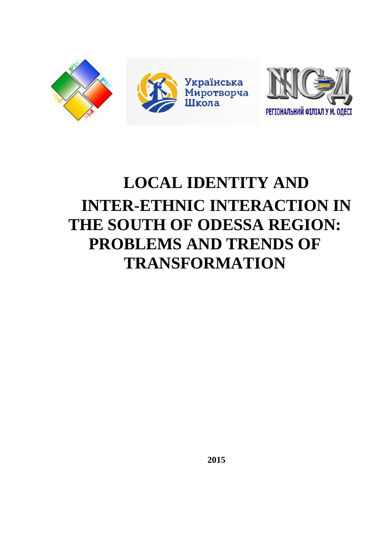

# **LOCAL IDENTITY AND INTER-ETHNIC INTERACTION IN THE SOUTH OF ODESSA REGION: PROBLEMS AND TRENDS OF TRANSFORMATION**

**2015**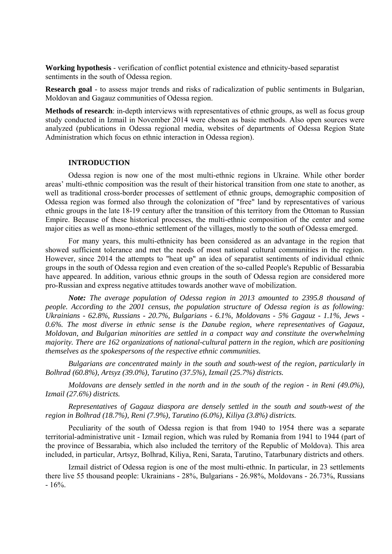**Working hypothesis** - verification of conflict potential existence and ethnicity-based separatist sentiments in the south of Odessa region.

**Research goal** - to assess major trends and risks of radicalization of public sentiments in Bulgarian, Moldovan and Gagauz communities of Odessa region.

**Methods of research**: in-depth interviews with representatives of ethnic groups, as well as focus group study conducted in Izmail in November 2014 were chosen as basic methods. Also open sources were analyzed (publications in Odessa regional media, websites of departments of Odessa Region State Administration which focus on ethnic interaction in Odessa region).

# **INTRODUCTION**

Odessa region is now one of the most multi-ethnic regions in Ukraine. While other border areas' multi-ethnic composition was the result of their historical transition from one state to another, as well as traditional cross-border processes of settlement of ethnic groups, demographic composition of Odessa region was formed also through the colonization of "free" land by representatives of various ethnic groups in the late 18-19 century after the transition of this territory from the Ottoman to Russian Empire. Because of these historical processes, the multi-ethnic composition of the center and some major cities as well as mono-ethnic settlement of the villages, mostly to the south of Odessa emerged.

For many years, this multi-ethnicity has been considered as an advantage in the region that showed sufficient tolerance and met the needs of most national cultural communities in the region. However, since 2014 the attempts to "heat up" an idea of separatist sentiments of individual ethnic groups in the south of Odessa region and even creation of the so-called People's Republic of Bessarabia have appeared. In addition, various ethnic groups in the south of Odessa region are considered more pro-Russian and express negative attitudes towards another wave of mobilization.

*Note: The average population of Odessa region in 2013 amounted to 2395.8 thousand of people. According to the 2001 census, the population structure of Odessa region is as following: Ukrainians - 62.8%, Russians - 20.7%, Bulgarians - 6.1%, Moldovans - 5% Gagauz - 1.1%, Jews - 0.6%. The most diverse in ethnic sense is the Danube region, where representatives of Gagauz, Moldovan, and Bulgarian minorities are settled in a compact way and constitute the overwhelming majority. There are 162 organizations of national-cultural pattern in the region, which are positioning themselves as the spokespersons of the respective ethnic communities.* 

*Bulgarians are concentrated mainly in the south and south-west of the region, particularly in Bolhrad (60.8%), Artsyz (39.0%), Tarutino (37.5%), Izmail (25.7%) districts.* 

*Moldovans are densely settled in the north and in the south of the region - in Reni (49.0%), Izmail (27.6%) districts.* 

*Representatives of Gagauz diaspora are densely settled in the south and south-west of the region in Bolhrad (18.7%), Reni (7.9%), Tarutino (6.0%), Kiliya (3.8%) districts.* 

Peculiarity of the south of Odessa region is that from 1940 to 1954 there was a separate territorial-administrative unit - Izmail region, which was ruled by Romania from 1941 to 1944 (part of the province of Bessarabia, which also included the territory of the Republic of Moldova). This area included, in particular, Artsyz, Bolhrad, Kiliya, Reni, Sarata, Tarutino, Tatarbunary districts and others.

Izmail district of Odessa region is one of the most multi-ethnic. In particular, in 23 settlements there live 55 thousand people: Ukrainians - 28%, Bulgarians - 26.98%, Moldovans - 26.73%, Russians  $-16%$ .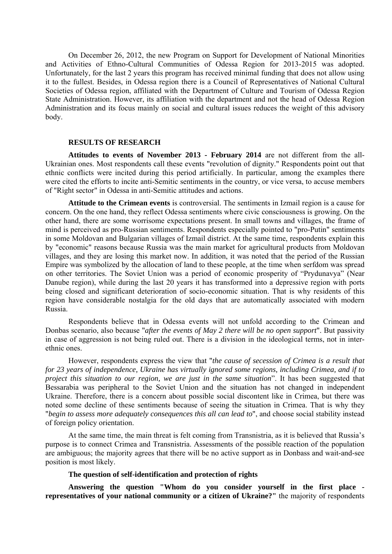On December 26, 2012, the new Program on Support for Development of National Minorities and Activities of Ethno-Cultural Communities of Odessa Region for 2013-2015 was adopted. Unfortunately, for the last 2 years this program has received minimal funding that does not allow using it to the fullest. Besides, in Odessa region there is a Council of Representatives of National Cultural Societies of Odessa region, affiliated with the Department of Culture and Tourism of Odessa Region State Administration. However, its affiliation with the department and not the head of Odessa Region Administration and its focus mainly on social and cultural issues reduces the weight of this advisory body.

#### **RESULTS OF RESEARCH**

**Attitudes to events of November 2013 - February 2014** are not different from the all-Ukrainian ones. Most respondents call these events "revolution of dignity." Respondents point out that ethnic conflicts were incited during this period artificially. In particular, among the examples there were cited the efforts to incite anti-Semitic sentiments in the country, or vice versa, to accuse members of "Right sector" in Odessa in anti-Semitic attitudes and actions.

**Attitude to the Crimean events** is controversial. The sentiments in Izmail region is a cause for concern. On the one hand, they reflect Odessa sentiments where civic consciousness is growing. On the other hand, there are some worrisome expectations present. In small towns and villages, the frame of mind is perceived as pro-Russian sentiments. Respondents especially pointed to "pro-Putin" sentiments in some Moldovan and Bulgarian villages of Izmail district. At the same time, respondents explain this by "economic" reasons because Russia was the main market for agricultural products from Moldovan villages, and they are losing this market now. In addition, it was noted that the period of the Russian Empire was symbolized by the allocation of land to these people, at the time when serfdom was spread on other territories. The Soviet Union was a period of economic prosperity of "Prydunavya" (Near Danube region), while during the last 20 years it has transformed into a depressive region with ports being closed and significant deterioration of socio-economic situation. That is why residents of this region have considerable nostalgia for the old days that are automatically associated with modern Russia.

Respondents believe that in Odessa events will not unfold according to the Crimean and Donbas scenario, also because "*after the events of May 2 there will be no open support*". But passivity in case of aggression is not being ruled out. There is a division in the ideological terms, not in interethnic ones.

However, respondents express the view that "*the cause of secession of Crimea is a result that for 23 years of independence, Ukraine has virtually ignored some regions, including Crimea, and if to project this situation to our region, we are just in the same situation*". It has been suggested that Bessarabia was peripheral to the Soviet Union and the situation has not changed in independent Ukraine. Therefore, there is a concern about possible social discontent like in Crimea, but there was noted some decline of these sentiments because of seeing the situation in Crimea. That is why they "*begin to assess more adequately consequences this all can lead to*", and choose social stability instead of foreign policy orientation.

At the same time, the main threat is felt coming from Transnistria, as it is believed that Russia's purpose is to connect Crimea and Transnistria. Assessments of the possible reaction of the population are ambiguous; the majority agrees that there will be no active support as in Donbass and wait-and-see position is most likely.

### **The question of self-identification and protection of rights**

**Answering the question "Whom do you consider yourself in the first place representatives of your national community or a citizen of Ukraine?"** the majority of respondents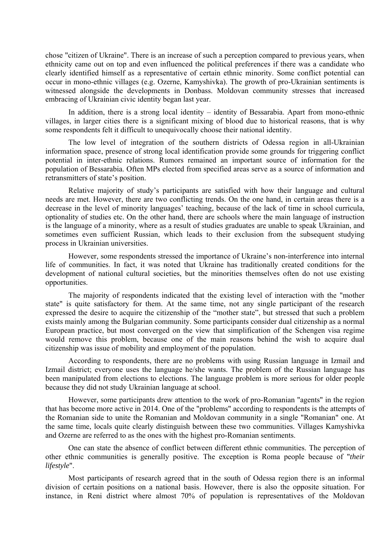chose "citizen of Ukraine". There is an increase of such a perception compared to previous years, when ethnicity came out on top and even influenced the political preferences if there was a candidate who clearly identified himself as a representative of certain ethnic minority. Some conflict potential can occur in mono-ethnic villages (e.g. Ozerne, Kamyshivka). The growth of pro-Ukrainian sentiments is witnessed alongside the developments in Donbass. Moldovan community stresses that increased embracing of Ukrainian civic identity began last year.

In addition, there is a strong local identity – identity of Bessarabia. Apart from mono-ethnic villages, in larger cities there is a significant mixing of blood due to historical reasons, that is why some respondents felt it difficult to unequivocally choose their national identity.

The low level of integration of the southern districts of Odessa region in all-Ukrainian information space, presence of strong local identification provide some grounds for triggering conflict potential in inter-ethnic relations. Rumors remained an important source of information for the population of Bessarabia. Often MPs elected from specified areas serve as a source of information and retransmitters of state's position.

Relative majority of study's participants are satisfied with how their language and cultural needs are met. However, there are two conflicting trends. On the one hand, in certain areas there is a decrease in the level of minority languages' teaching, because of the lack of time in school curricula, optionality of studies etc. On the other hand, there are schools where the main language of instruction is the language of a minority, where as a result of studies graduates are unable to speak Ukrainian, and sometimes even sufficient Russian, which leads to their exclusion from the subsequent studying process in Ukrainian universities.

However, some respondents stressed the importance of Ukraine's non-interference into internal life of communities. In fact, it was noted that Ukraine has traditionally created conditions for the development of national cultural societies, but the minorities themselves often do not use existing opportunities.

The majority of respondents indicated that the existing level of interaction with the "mother state" is quite satisfactory for them. At the same time, not any single participant of the research expressed the desire to acquire the citizenship of the "mother state", but stressed that such a problem exists mainly among the Bulgarian community. Some participants consider dual citizenship as a normal European practice, but most converged on the view that simplification of the Schengen visa regime would remove this problem, because one of the main reasons behind the wish to acquire dual citizenship was issue of mobility and employment of the population.

According to respondents, there are no problems with using Russian language in Izmail and Izmail district; everyone uses the language he/she wants. The problem of the Russian language has been manipulated from elections to elections. The language problem is more serious for older people because they did not study Ukrainian language at school.

However, some participants drew attention to the work of pro-Romanian "agents" in the region that has become more active in 2014. One of the "problems" according to respondents is the attempts of the Romanian side to unite the Romanian and Moldovan community in a single "Romanian" one. At the same time, locals quite clearly distinguish between these two communities. Villages Kamyshivka and Ozerne are referred to as the ones with the highest pro-Romanian sentiments.

One can state the absence of conflict between different ethnic communities. The perception of other ethnic communities is generally positive. The exception is Roma people because of "*their lifestyle*".

Most participants of research agreed that in the south of Odessa region there is an informal division of certain positions on a national basis. However, there is also the opposite situation. For instance, in Reni district where almost 70% of population is representatives of the Moldovan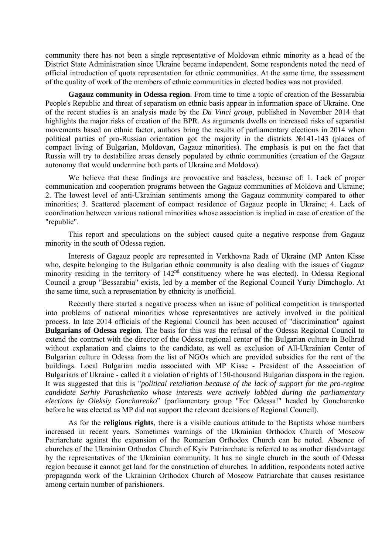community there has not been a single representative of Moldovan ethnic minority as a head of the District State Administration since Ukraine became independent. Some respondents noted the need of official introduction of quota representation for ethnic communities. At the same time, the assessment of the quality of work of the members of ethnic communities in elected bodies was not provided.

**Gagauz community in Odessa region**. From time to time a topic of creation of the Bessarabia People's Republic and threat of separatism on ethnic basis appear in information space of Ukraine. One of the recent studies is an analysis made by the *Da Vinci group*, published in November 2014 that highlights the major risks of creation of the BPR. As arguments dwells on increased risks of separatist movements based on ethnic factor, authors bring the results of parliamentary elections in 2014 when political parties of pro-Russian orientation got the majority in the districts No. 141-143 (places of compact living of Bulgarian, Moldovan, Gagauz minorities). The emphasis is put on the fact that Russia will try to destabilize areas densely populated by ethnic communities (creation of the Gagauz autonomy that would undermine both parts of Ukraine and Moldova).

We believe that these findings are provocative and baseless, because of: 1. Lack of proper communication and cooperation programs between the Gagauz communities of Moldova and Ukraine; 2. The lowest level of anti-Ukrainian sentiments among the Gagauz community compared to other minorities; 3. Scattered placement of compact residence of Gagauz people in Ukraine; 4. Lack of coordination between various national minorities whose association is implied in case of creation of the "republic".

This report and speculations on the subject caused quite a negative response from Gagauz minority in the south of Odessa region.

Interests of Gagauz people are represented in Verkhovna Rada of Ukraine (MP Anton Kisse who, despite belonging to the Bulgarian ethnic community is also dealing with the issues of Gagauz minority residing in the territory of 142<sup>nd</sup> constituency where he was elected). In Odessa Regional Council a group "Bessarabia" exists, led by a member of the Regional Council Yuriy Dimchoglo. At the same time, such a representation by ethnicity is unofficial.

Recently there started a negative process when an issue of political competition is transported into problems of national minorities whose representatives are actively involved in the political process. In late 2014 officials of the Regional Council has been accused of "discrimination" against **Bulgarians of Odessa region**. The basis for this was the refusal of the Odessa Regional Council to extend the contract with the director of the Odessa regional center of the Bulgarian culture in Bolhrad without explanation and claims to the candidate, as well as exclusion of All-Ukrainian Center of Bulgarian culture in Odessa from the list of NGOs which are provided subsidies for the rent of the buildings. Local Bulgarian media associated with MP Kisse - President of the Association of Bulgarians of Ukraine - called it a violation of rights of 150-thousand Bulgarian diaspora in the region. It was suggested that this is "*political retaliation because of the lack of support for the pro-regime candidate Serhiy Parashchenko whose interests were actively lobbied during the parliamentary elections by Oleksiy Goncharenko*" (parliamentary group "For Odessa!" headed by Goncharenko before he was elected as MP did not support the relevant decisions of Regional Council).

As for the **religious rights**, there is a visible cautious attitude to the Baptists whose numbers increased in recent years. Sometimes warnings of the Ukrainian Orthodox Church of Moscow Patriarchate against the expansion of the Romanian Orthodox Church can be noted. Absence of churches of the Ukrainian Orthodox Church of Kyiv Patriarchate is referred to as another disadvantage by the representatives of the Ukrainian community. It has no single church in the south of Odessa region because it cannot get land for the construction of churches. In addition, respondents noted active propaganda work of the Ukrainian Orthodox Church of Moscow Patriarchate that causes resistance among certain number of parishioners.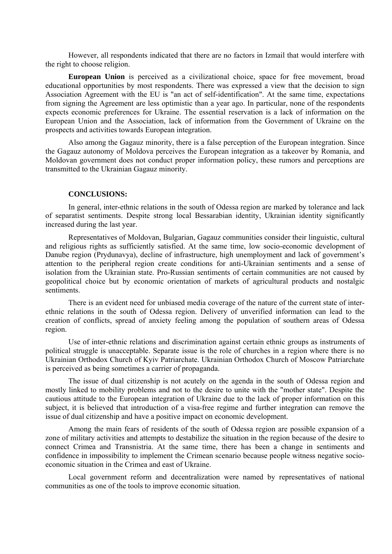However, all respondents indicated that there are no factors in Izmail that would interfere with the right to choose religion.

**European Union** is perceived as a civilizational choice, space for free movement, broad educational opportunities by most respondents. There was expressed a view that the decision to sign Association Agreement with the EU is "an act of self-identification". At the same time, expectations from signing the Agreement are less optimistic than a year ago. In particular, none of the respondents expects economic preferences for Ukraine. The essential reservation is a lack of information on the European Union and the Association, lack of information from the Government of Ukraine on the prospects and activities towards European integration.

Also among the Gagauz minority, there is a false perception of the European integration. Since the Gagauz autonomy of Moldova perceives the European integration as a takeover by Romania, and Moldovan government does not conduct proper information policy, these rumors and perceptions are transmitted to the Ukrainian Gagauz minority.

## **CONCLUSIONS:**

In general, inter-ethnic relations in the south of Odessa region are marked by tolerance and lack of separatist sentiments. Despite strong local Bessarabian identity, Ukrainian identity significantly increased during the last year.

Representatives of Moldovan, Bulgarian, Gagauz communities consider their linguistic, cultural and religious rights as sufficiently satisfied. At the same time, low socio-economic development of Danube region (Prydunavya), decline of infrastructure, high unemployment and lack of government's attention to the peripheral region create conditions for anti-Ukrainian sentiments and a sense of isolation from the Ukrainian state. Pro-Russian sentiments of certain communities are not caused by geopolitical choice but by economic orientation of markets of agricultural products and nostalgic sentiments.

There is an evident need for unbiased media coverage of the nature of the current state of interethnic relations in the south of Odessa region. Delivery of unverified information can lead to the creation of conflicts, spread of anxiety feeling among the population of southern areas of Odessa region.

Use of inter-ethnic relations and discrimination against certain ethnic groups as instruments of political struggle is unacceptable. Separate issue is the role of churches in a region where there is no Ukrainian Orthodox Church of Kyiv Patriarchate. Ukrainian Orthodox Church of Moscow Patriarchate is perceived as being sometimes a carrier of propaganda.

The issue of dual citizenship is not acutely on the agenda in the south of Odessa region and mostly linked to mobility problems and not to the desire to unite with the "mother state". Despite the cautious attitude to the European integration of Ukraine due to the lack of proper information on this subject, it is believed that introduction of a visa-free regime and further integration can remove the issue of dual citizenship and have a positive impact on economic development.

Among the main fears of residents of the south of Odessa region are possible expansion of a zone of military activities and attempts to destabilize the situation in the region because of the desire to connect Crimea and Transnistria. At the same time, there has been a change in sentiments and confidence in impossibility to implement the Crimean scenario because people witness negative socioeconomic situation in the Crimea and east of Ukraine.

Local government reform and decentralization were named by representatives of national communities as one of the tools to improve economic situation.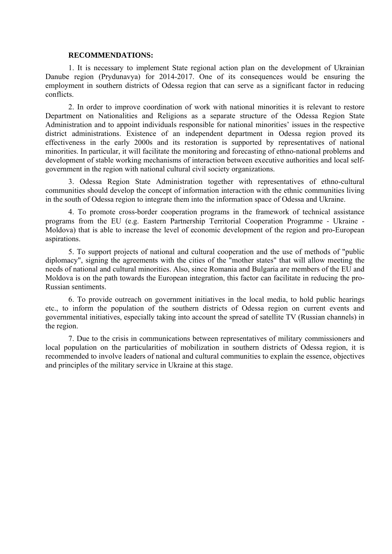## **RECOMMENDATIONS:**

1. It is necessary to implement State regional action plan on the development of Ukrainian Danube region (Prydunavya) for 2014-2017. One of its consequences would be ensuring the employment in southern districts of Odessa region that can serve as a significant factor in reducing conflicts.

2. In order to improve coordination of work with national minorities it is relevant to restore Department on Nationalities and Religions as a separate structure of the Odessa Region State Administration and to appoint individuals responsible for national minorities' issues in the respective district administrations. Existence of an independent department in Odessa region proved its effectiveness in the early 2000s and its restoration is supported by representatives of national minorities. In particular, it will facilitate the monitoring and forecasting of ethno-national problems and development of stable working mechanisms of interaction between executive authorities and local selfgovernment in the region with national cultural civil society organizations.

3. Odessa Region State Administration together with representatives of ethno-cultural communities should develop the concept of information interaction with the ethnic communities living in the south of Odessa region to integrate them into the information space of Odessa and Ukraine.

4. To promote cross-border cooperation programs in the framework of technical assistance programs from the EU (e.g. Eastern Partnership Territorial Cooperation Programme ‐ Ukraine - Moldova) that is able to increase the level of economic development of the region and pro-European aspirations.

5. To support projects of national and cultural cooperation and the use of methods of "public diplomacy", signing the agreements with the cities of the "mother states" that will allow meeting the needs of national and cultural minorities. Also, since Romania and Bulgaria are members of the EU and Moldova is on the path towards the European integration, this factor can facilitate in reducing the pro-Russian sentiments.

6. To provide outreach on government initiatives in the local media, to hold public hearings etc., to inform the population of the southern districts of Odessa region on current events and governmental initiatives, especially taking into account the spread of satellite TV (Russian channels) in the region.

7. Due to the crisis in communications between representatives of military commissioners and local population on the particularities of mobilization in southern districts of Odessa region, it is recommended to involve leaders of national and cultural communities to explain the essence, objectives and principles of the military service in Ukraine at this stage.